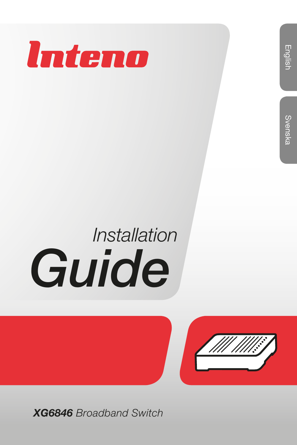

## English

# *Installation Guide*



*XG6846 Broadband Switch*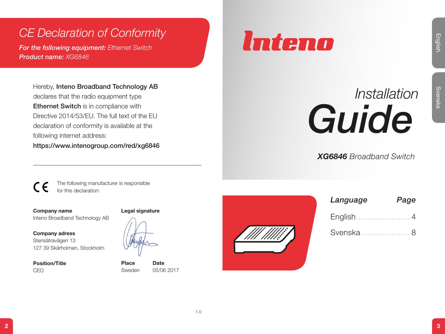## *CE Declaration of Conformity*

*For the following equipment: Ethernet Switch Product name: XG6846*

Can be following equipment: Ethose Svitzle<br>
From Belowing equipment: Ethose Svitzle<br>
Product manes XG6246<br>
Section and Reach Solution and Reach Svenska Reach<br>
Chennel Swenska Reach Solution and Chennel Swenska Reach<br>
Scho Hereby, Inteno Broadband Technology AB declares that the radio equipment type Ethernet Switch is in compliance with Directive 2014/53/EU. The full text of the EU. declaration of conformity is available at the following internet address:

https://www.intenogroup.com/red/xg6846

The following manufacturer is responsible for this declaration:

Company name Inteno Broadband Technology AB

Company adress Stensätravägen 13 127 39 Skärholmen, Stockholm

Position/Title CEO

#### Legal signature



Place Date Sweden 05/06 2017



| UIQ                            |
|--------------------------------|
| <b>XG6846</b> Broadband Switch |

## *Language Page* English....................... 4 Svenska ..................... 8

*Installation* 

English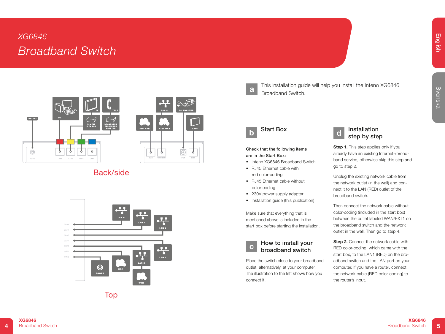### *XG6846 Broadband Switch*



|                | m.<br>LAN <sub>5</sub> | ↽ | TO<br><b>DC ADAPTER</b> |
|----------------|------------------------|---|-------------------------|
| <b>SFP WAN</b> | <b>RJ45 WAN</b>        |   | CATV                    |
| <b>WAN</b>     | WAN/EXT1               |   | CATV<br>PWR             |

### Back/side





This installation guide will help you install the Inteno XG6846 **a** Broadband Switch.

#### Start Box b d

#### Check that the following items are in the Start Box:

- Inteno XG6846 Broadband Switch
- RJ45 Ethernet cable with red color-coding
- RJ45 Ethernet cable without color-coding
- 230V power supply adapter
- Installation guide (this publication)

Make sure that everything that is mentioned above is included in the start box before starting the installation.

#### How to install your broadband switch c

Place the switch close to your broadband outlet, alternatively, at your computer. The illustration to the left shows how you connect it.



Step 1. This step applies only if you already have an existing Internet-/broadband service, otherwise skip this step and go to step 2.

Unplug the existing network cable from the network outlet (in the wall) and connect it to the LAN (RED) outlet of the broadband switch.

Then connect the network cable without color-coding (included in the start box) between the outlet labeled WAN/EXT1 on the broadband switch and the network outlet in the wall. Then go to step 4.

Step 2. Connect the network cable with RED color-coding, which came with the start box, to the LAN1 (RED) on the broadband switch and the LAN port on your computer. If you have a router, connect the network cable (RED color-coding) to the router's input.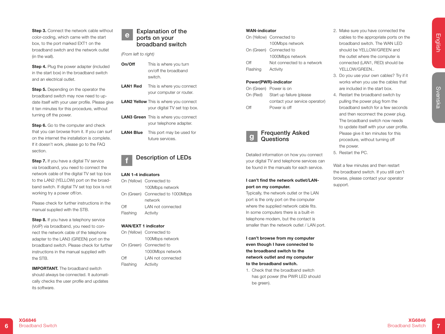**Step 3.** Connect the network cable without color-coding, which came with the start box, to the port marked EXT1 on the broadband switch and the network outlet (in the wall).

Step 4. Plug the power adapter (included in the start box) in the broadband switch and an electrical outlet.

Step 5. Depending on the operator the broadband switch may now need to update itself with your user profile. Please give it ten minutes for this procedure, without turning off the power.

Step 6. Go to the computer and check that you can browse from it. If you can surf on the internet the installation is complete. If it doesn't work, please go to the FAQ section.

Step 7. If you have a digital TV service via broadband, you need to connect the network cable of the digital TV set top box to the LAN2 (YELLOW) port on the broadband switch. If digital TV set top box is not working try a power off/on.

Please check for further instructions in the manual supplied with the STB.

Step 8. If you have a telephony service (VoIP) via broadband, you need to connect the network cable of the telephone adapter to the LAN3 (GREEN) port on the broadband switch. Please check for further instructions in the manual supplied with the STB.

IMPORTANT. The broadband switch should always be connected. It automatically checks the user profile and updates its software.

#### Explanation of the ports on your broadband switch e

*(From left to right)*

- **On/Off** This is where you turn on/off the broadband switch.
- **LAN1 Red** This is where you connect your computer or router.
- **LAN2 Yellow** This is where you connect your digital TV set top box.
- LAN3 Green This is where you connect your telephone adapter.
- **LAN4 Blue** This port may be used for future services.

#### Description of LEDs

#### LAN 1-4 indicators

f

|          | On (Yellow) Connected to         |  |
|----------|----------------------------------|--|
|          | 100Mbps network                  |  |
|          | On (Green) Connected to 1000Mbps |  |
|          | network                          |  |
| Off      | LAN not connected                |  |
| Flashing | Activity                         |  |

#### WAN/EXT 1 indicator

On (Yellow) Connected to 100Mbps network On (Green) Connected to 1000Mbps network Off LAN not connected Flashing Activity

#### WAN-indicator

|          | On (Yellow) Connected to   |
|----------|----------------------------|
|          | 100Mbps network            |
|          | On (Green) Connected to    |
|          | 1000Mbps network           |
| ∩ff      | Not connected to a network |
| Flashing | Activity                   |
|          |                            |

#### Power(PWR)-indicator

g

|     | On (Green) Power is on            |
|-----|-----------------------------------|
|     | On (Red) Start up failure (please |
|     | contact your service operator)    |
| Off | Power is off                      |

#### Frequently Asked Questions

Detailed information on how you connect your digital TV and telephone services can be found in the manuals for each service.

#### I can't find the network outlet/LANport on my computer.

Typically, the network outlet or the LAN port is the only port on the computer where the supplied network cable fits. In some computers there is a built-in telephone modem, but the contact is smaller than the network outlet / LAN port.

I can't browse from my computer even though I have connected to the broadband switch to the network outlet and my computer to the broadband switch.

1. Check that the broadband switch has got power (the PWR LED should be green).

- 2. Make sure you have connected the cables to the appropriate ports on the broadband switch. The WAN LED should be YELLOW/GREEN and the outlet where the computer is connected (LAN1, RED) should be YFI I OW/GRFFN...
- 3. Do you use your own cables? Try if it works when you use the cables that are included in the start box.
- GEORGING METHOD INTO THE CONTRACT CONTRACT CONTRACT CONTRACT CONTRACT CONTRACT CONTRACT CONTRACT CONTRACT CONTRACT CONTRACT CONTRACT CONTRACT CONTRACT CONTRACT CONTRACT CONTRACT CONTRACT CONTRACT CONTRACT CONTRACT CONTRAC 4. Restart the broadband switch by pulling the power plug from the broadband switch for a few seconds and then reconnect the power plug. The broadband switch now needs to update itself with your user profile. Please give it ten minutes for this procedure, without turning off the power.
	- 5. Restart the PC.

Wait a few minutes and then restart the broadband switch. If you still can't browse, please contact your operator support.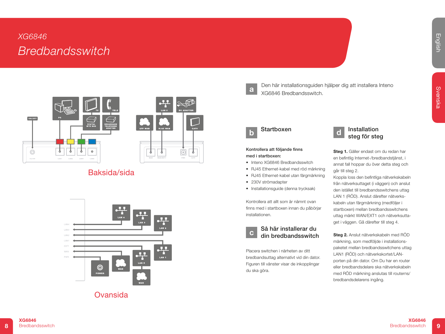## *XG6846 Bredbandsswitch*



|                | чy.<br>LAN <sub>5</sub> |     | KOO<br><b>DC ADAPTER</b> |
|----------------|-------------------------|-----|--------------------------|
| <b>SFP WAN</b> | <b>RJ45 WAN</b>         |     | CATV                     |
| <b>WAN</b>     | WAN/EXT1                | PWR | CATV                     |

#### Baksida/sida



Ovansida



l 5

Den här installationsguiden hjälper dig att installera Inteno **a** XG6846 Bredbandsswitch.

#### **Startboxen**

#### Kontrollera att följande finns med i startboxen:

- Inteno XG6846 Bredbandsswitch
- RJ45 Ethernet-kabel med röd märkning
- RJ45 Ethernet-kabel utan färgmärkning
- 230V strömadapter
- Installationsguide (denna trycksak)

Kontrollera att allt som är nämnt ovan finns med i startboxen innan du påbörjar installationen.



du ska göra.

Placera switchen i närheten av ditt bredbandsuttag alternativt vid din dator. Figuren till vänster visar de inkopplingar

#### Installation steg för steg d

Steg 1. Gäller endast om du redan har en befintlig Internet-/bredbandstjänst, i annat fall hoppar du över detta steg och går till steg 2.

Koppla loss den befintliga nätverkskabeln från nätverksuttaget (i väggen) och anslut den istället till bredbandsswitchens uttag LAN 1 (RÖD). Anslut därefter nätverkskabeln utan färgmärkning (medföljer i startboxen) mellan bredbandsswitchens uttag märkt WAN/EXT1 och nätverksuttaget i väggen. Gå därefter till steg 4.

Steg 2. Anslut nätverkskabeln med RÖD märkning, som medföljde i installationspaketet mellan bredbandsswitchens uttag LAN1 (RÖD) och nätverkskortet/LANporten på din dator. Om Du har en router eller bredbandsdelare ska nätverkskabeln med RÖD märkning anslutas till routerns/ bredbandsdelarens ingång.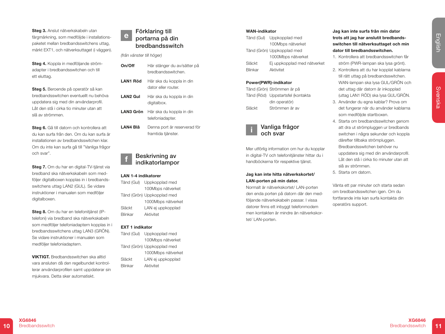Steg 3. Anslut nätverkskabeln utan färgmärkning, som medföljde i installationspaketet mellan bredbandsswitchens uttag, märkt EXT1, och nätverksuttaget (i väggen).

Steg 4. Koppla in medföljande strömadapter i bredbandsswitchen och till ett eluttag.

Steg 5. Beroende på operatör så kan bredbandsswitchen eventuellt nu behöva uppdatera sig med din användarprofil. Låt den stå i cirka tio minuter utan att slå av strömmen.

Steg 6. Gå till datorn och kontrollera att du kan surfa från den. Om du kan surfa är installationen av bredbandsswitchen klar. Om du inte kan surfa gå till "Vanliga frågor och svar".

Steg 7. Om du har en digital-TV-tjänst via bredband ska nätverkskabeln som medföljer digitalboxen kopplas in i bredbandsswitchens uttag LAN2 (GUL). Se vidare instruktioner i manualen som medföljer digitalboxen.

Steg 8. Om du har en telefonitiänst (IPtelefoni) via bredband ska nätverkskabeln som medföljer telefoniadaptern kopplas in i bredbandsswitchens uttag LAN3 (GRÖN). Se vidare instruktioner i manualen som medföljer telefoniadaptern.

VIKTIGT. Bredbandsswitchen ska alltid vara ansluten då den regelbundet kontrollerar användarprofilen samt uppdaterar sin mjukvara. Detta sker automatiskt.

#### Förklaring till portarna på din bredbandsswitch e

*(från vänster till höger)*

- On/Off Här stänger du av/sätter på bredbandsswitchen.
- LAN1 Röd Här ska du koppla in din dator eller router.
- LAN2 Gul Här ska du koppla in din digitalbox.
- LAN3 Grön Här ska du koppla in din telefoniadapter.
- LAN4 Blå Denna port är reserverad för framtida tiänster.

#### Beskrivning av indikatorlampor f

#### LAN 1-4 indikatorer

Tänd (Gul) Uppkopplad med 100Mbps nätverket Tänd (Grön) Uppkopplad med 1000Mbps nätverket Släckt LAN ei uppkopplad Blinkar Aktivitet

#### EXT 1 indikator

Tänd (Gul) Uppkopplad med 100Mbps nätverket Tänd (Grön) Uppkopplad med 1000Mbps nätverket Släckt LAN ej uppkopplad Blinkar Aktivitet

#### WAN-indikator

|                | Tänd (Gul) Uppkopplad med   |
|----------------|-----------------------------|
|                | 100Mbps nätverket           |
|                | Tänd (Grön) Uppkopplad med  |
|                | 1000Mbps nätverket          |
| Släckt         | Ej uppkopplad med nätverket |
| <b>Blinkar</b> | Aktivitet                   |
|                |                             |

#### Power(PWR)-indikator

Tänd (Grön) Strömmen är på Tänd (Röd) Uppstartsfel (kontakta din operatör) Släckt Strömmen är av



Mer utförlig information om hur du kopplar in digital-TV och telefonitjänster hittar du i handböckerna för respektive tjänst.

#### Jag kan inte hitta nätverkskortet/ LAN-porten på min dator.

Normalt är nätverkskortet/ LAN-porten den enda porten på datorn där den medföljande nätverkskabeln passar. I vissa datorer finns ett inbyggt telefonmodem men kontakten är mindre än nätverkskortet/ LAN-porten.

Jag kan inte surfa från min dator trots att jag har anslutit bredbandsswitchen till nätverksuttaget och min dator till bredbandsswitchen.

- 1. Kontrollera att bredbandsswitchen får ström (PWR-lampan ska lysa grönt).
- 2. Kontrollera att du har kopplat kablarna till rätt uttag på bredbandsswitchen. WAN-lampan ska lysa GUL/GRÖN och det uttag där datorn är inkopplad (uttag LAN1 RÖD) ska lysa GUL/GRÖN.
- 3. Använder du egna kablar? Prova om det fungerar när du använder kablarna som medföljde startboxen.
- 4. Starta om bredbandsswitchen genom att dra ut strömpluggen ur bredbands switchen i några sekunder och koppla därefter tillbaka strömpluggen. Bredbandsswitchen behöver nu uppdatera sig med din användarprofil. Låt den stå i cirka tio minuter utan att slå av strömmen.
- 5. Starta om datorn.

Vänta ett par minuter och starta sedan om bredbandsswitchen igen. Om du fortfarande inte kan surfa kontakta din operatörs support.

Svenska